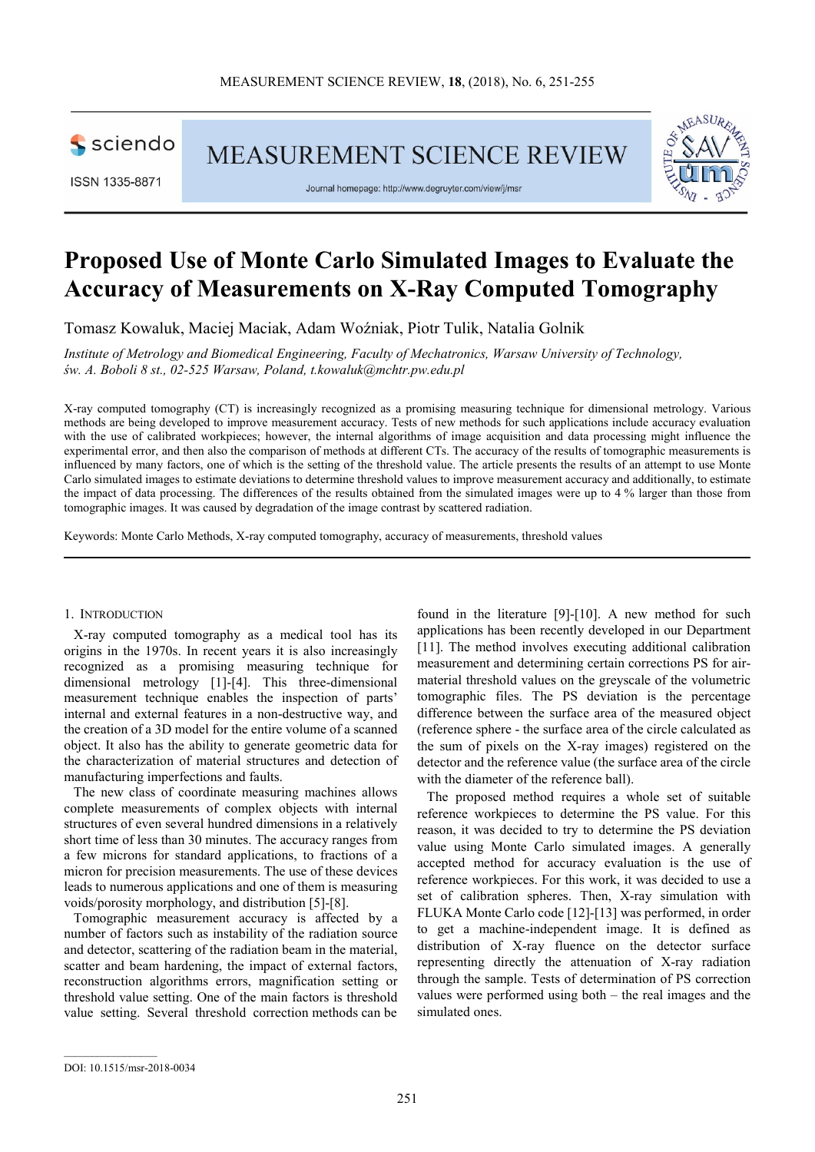

MEASUREMENT SCIENCE REVIEW

ISSN 1335-8871

Journal homepage: http://www.degruyter.com/view/j/msr



# **Proposed Use of Monte Carlo Simulated Images to Evaluate the Accuracy of Measurements on X-Ray Computed Tomography**

Tomasz Kowaluk, Maciej Maciak, Adam Woźniak, Piotr Tulik, Natalia Golnik

*Institute of Metrology and Biomedical Engineering, Faculty of Mechatronics, Warsaw University of Technology, św. A. Boboli 8 st., 02-525 Warsaw, Poland, t.kowaluk@mchtr.pw.edu.pl* 

X-ray computed tomography (CT) is increasingly recognized as a promising measuring technique for dimensional metrology. Various methods are being developed to improve measurement accuracy. Tests of new methods for such applications include accuracy evaluation with the use of calibrated workpieces; however, the internal algorithms of image acquisition and data processing might influence the experimental error, and then also the comparison of methods at different CTs. The accuracy of the results of tomographic measurements is influenced by many factors, one of which is the setting of the threshold value. The article presents the results of an attempt to use Monte Carlo simulated images to estimate deviations to determine threshold values to improve measurement accuracy and additionally, to estimate the impact of data processing. The differences of the results obtained from the simulated images were up to 4 % larger than those from tomographic images. It was caused by degradation of the image contrast by scattered radiation.

Keywords: Monte Carlo Methods, X-ray computed tomography, accuracy of measurements, threshold values

#### 1. INTRODUCTION

X-ray computed tomography as a medical tool has its origins in the 1970s. In recent years it is also increasingly recognized as a promising measuring technique for dimensional metrology [1]-[4]. This three-dimensional measurement technique enables the inspection of parts' internal and external features in a non-destructive way, and the creation of a 3D model for the entire volume of a scanned object. It also has the ability to generate geometric data for the characterization of material structures and detection of manufacturing imperfections and faults.

The new class of coordinate measuring machines allows complete measurements of complex objects with internal structures of even several hundred dimensions in a relatively short time of less than 30 minutes. The accuracy ranges from a few microns for standard applications, to fractions of a micron for precision measurements. The use of these devices leads to numerous applications and one of them is measuring voids/porosity morphology, and distribution [5]-[8].

Tomographic measurement accuracy is affected by a number of factors such as instability of the radiation source and detector, scattering of the radiation beam in the material, scatter and beam hardening, the impact of external factors, reconstruction algorithms errors, magnification setting or threshold value setting. One of the main factors is threshold value setting. Several threshold correction methods can be

found in the literature [9]-[10]. A new method for such applications has been recently developed in our Department [11]. The method involves executing additional calibration measurement and determining certain corrections PS for airmaterial threshold values on the greyscale of the volumetric tomographic files. The PS deviation is the percentage difference between the surface area of the measured object (reference sphere - the surface area of the circle calculated as the sum of pixels on the X-ray images) registered on the detector and the reference value (the surface area of the circle with the diameter of the reference ball).

The proposed method requires a whole set of suitable reference workpieces to determine the PS value. For this reason, it was decided to try to determine the PS deviation value using Monte Carlo simulated images. A generally accepted method for accuracy evaluation is the use of reference workpieces. For this work, it was decided to use a set of calibration spheres. Then, X-ray simulation with FLUKA Monte Carlo code [12]-[13] was performed, in order to get a machine-independent image. It is defined as distribution of X-ray fluence on the detector surface representing directly the attenuation of X-ray radiation through the sample. Tests of determination of PS correction values were performed using both – the real images and the simulated ones.

DOI: 10.1515/msr-2018-0034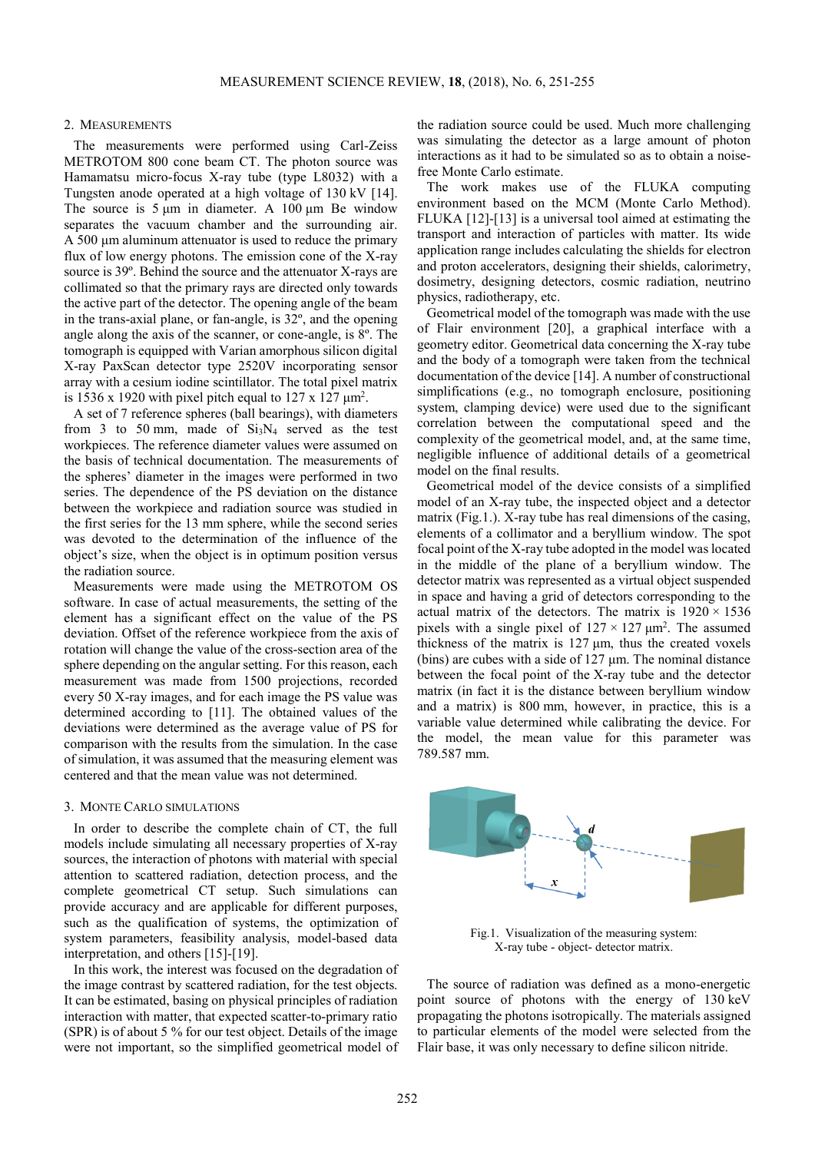#### 2. MEASUREMENTS

The measurements were performed using Carl-Zeiss METROTOM 800 cone beam CT. The photon source was Hamamatsu micro-focus X-ray tube (type L8032) with a Tungsten anode operated at a high voltage of 130 kV [14]. The source is  $5 \mu m$  in diameter. A 100  $\mu$ m Be window separates the vacuum chamber and the surrounding air. A 500 μm aluminum attenuator is used to reduce the primary flux of low energy photons. The emission cone of the X-ray source is 39º. Behind the source and the attenuator X-rays are collimated so that the primary rays are directed only towards the active part of the detector. The opening angle of the beam in the trans-axial plane, or fan-angle, is 32º, and the opening angle along the axis of the scanner, or cone-angle, is 8º. The tomograph is equipped with Varian amorphous silicon digital X-ray PaxScan detector type 2520V incorporating sensor array with a cesium iodine scintillator. The total pixel matrix is 1536 x 1920 with pixel pitch equal to  $127 \times 127 \mu m^2$ .

A set of 7 reference spheres (ball bearings), with diameters from 3 to 50 mm, made of  $Si<sub>3</sub>N<sub>4</sub>$  served as the test workpieces. The reference diameter values were assumed on the basis of technical documentation. The measurements of the spheres' diameter in the images were performed in two series. The dependence of the PS deviation on the distance between the workpiece and radiation source was studied in the first series for the 13 mm sphere, while the second series was devoted to the determination of the influence of the object's size, when the object is in optimum position versus the radiation source.

Measurements were made using the METROTOM OS software. In case of actual measurements, the setting of the element has a significant effect on the value of the PS deviation. Offset of the reference workpiece from the axis of rotation will change the value of the cross-section area of the sphere depending on the angular setting. For this reason, each measurement was made from 1500 projections, recorded every 50 X-ray images, and for each image the PS value was determined according to [11]. The obtained values of the deviations were determined as the average value of PS for comparison with the results from the simulation. In the case of simulation, it was assumed that the measuring element was centered and that the mean value was not determined.

## 3. MONTE CARLO SIMULATIONS

In order to describe the complete chain of CT, the full models include simulating all necessary properties of X-ray sources, the interaction of photons with material with special attention to scattered radiation, detection process, and the complete geometrical CT setup. Such simulations can provide accuracy and are applicable for different purposes, such as the qualification of systems, the optimization of system parameters, feasibility analysis, model-based data interpretation, and others [15]-[19].

In this work, the interest was focused on the degradation of the image contrast by scattered radiation, for the test objects. It can be estimated, basing on physical principles of radiation interaction with matter, that expected scatter-to-primary ratio (SPR) is of about 5 % for our test object. Details of the image were not important, so the simplified geometrical model of the radiation source could be used. Much more challenging was simulating the detector as a large amount of photon interactions as it had to be simulated so as to obtain a noisefree Monte Carlo estimate.

The work makes use of the FLUKA computing environment based on the MCM (Monte Carlo Method). FLUKA [12]-[13] is a universal tool aimed at estimating the transport and interaction of particles with matter. Its wide application range includes calculating the shields for electron and proton accelerators, designing their shields, calorimetry, dosimetry, designing detectors, cosmic radiation, neutrino physics, radiotherapy, etc.

Geometrical model of the tomograph was made with the use of Flair environment [20], a graphical interface with a geometry editor. Geometrical data concerning the X-ray tube and the body of a tomograph were taken from the technical documentation of the device [14]. A number of constructional simplifications (e.g., no tomograph enclosure, positioning system, clamping device) were used due to the significant correlation between the computational speed and the complexity of the geometrical model, and, at the same time, negligible influence of additional details of a geometrical model on the final results.

Geometrical model of the device consists of a simplified model of an X-ray tube, the inspected object and a detector matrix (Fig.1.). X-ray tube has real dimensions of the casing, elements of a collimator and a beryllium window. The spot focal point of the X-ray tube adopted in the model was located in the middle of the plane of a beryllium window. The detector matrix was represented as a virtual object suspended in space and having a grid of detectors corresponding to the actual matrix of the detectors. The matrix is  $1920 \times 1536$ pixels with a single pixel of  $127 \times 127 \mu m^2$ . The assumed thickness of the matrix is 127 μm, thus the created voxels (bins) are cubes with a side of 127 μm. The nominal distance between the focal point of the X-ray tube and the detector matrix (in fact it is the distance between beryllium window and a matrix) is 800 mm, however, in practice, this is a variable value determined while calibrating the device. For the model, the mean value for this parameter was 789.587 mm.



Fig.1. Visualization of the measuring system: X-ray tube - object- detector matrix.

The source of radiation was defined as a mono-energetic point source of photons with the energy of 130 keV propagating the photons isotropically. The materials assigned to particular elements of the model were selected from the Flair base, it was only necessary to define silicon nitride.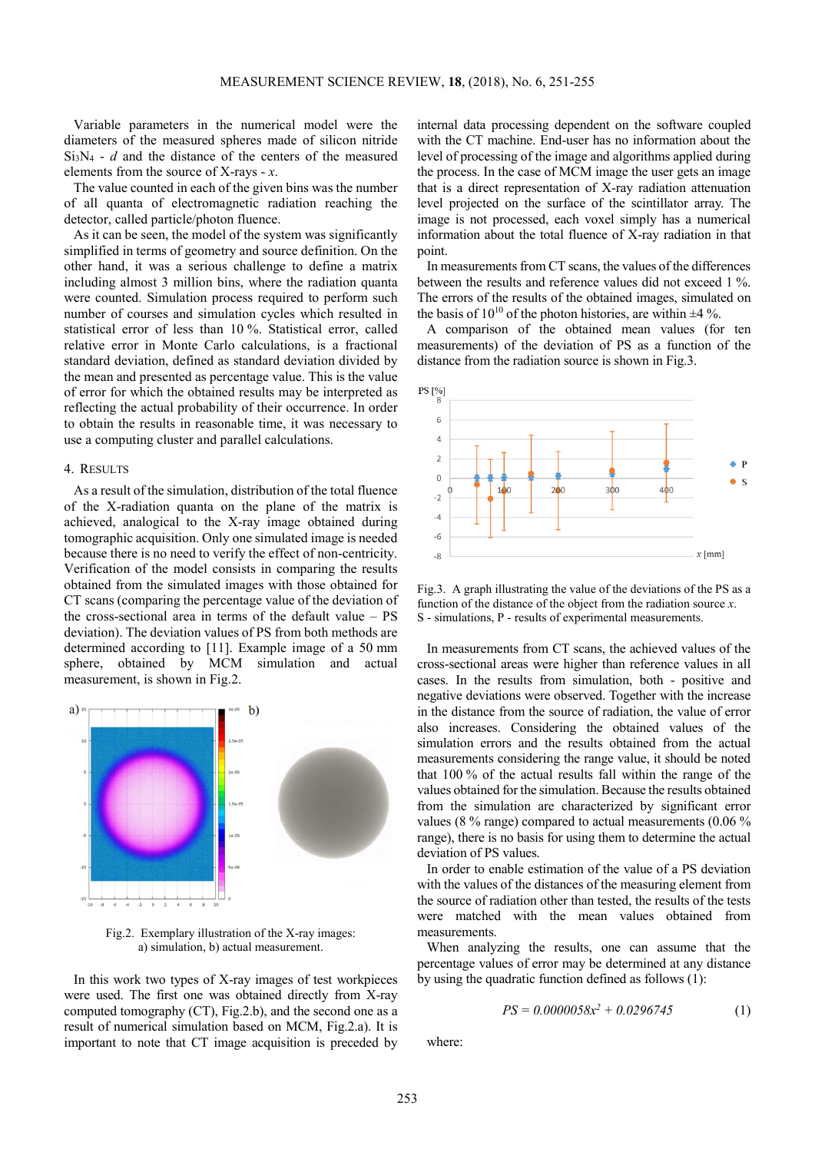Variable parameters in the numerical model were the diameters of the measured spheres made of silicon nitride  $Si<sub>3</sub>N<sub>4</sub> - d$  and the distance of the centers of the measured elements from the source of X-rays - *x*.

The value counted in each of the given bins was the number of all quanta of electromagnetic radiation reaching the detector, called particle/photon fluence.

As it can be seen, the model of the system was significantly simplified in terms of geometry and source definition. On the other hand, it was a serious challenge to define a matrix including almost 3 million bins, where the radiation quanta were counted. Simulation process required to perform such number of courses and simulation cycles which resulted in statistical error of less than 10 %. Statistical error, called relative error in Monte Carlo calculations, is a fractional standard deviation, defined as standard deviation divided by the mean and presented as percentage value. This is the value of error for which the obtained results may be interpreted as reflecting the actual probability of their occurrence. In order to obtain the results in reasonable time, it was necessary to use a computing cluster and parallel calculations.

## 4. RESULTS

As a result of the simulation, distribution of the total fluence of the X-radiation quanta on the plane of the matrix is achieved, analogical to the X-ray image obtained during tomographic acquisition. Only one simulated image is needed because there is no need to verify the effect of non-centricity. Verification of the model consists in comparing the results obtained from the simulated images with those obtained for CT scans (comparing the percentage value of the deviation of the cross-sectional area in terms of the default value – PS deviation). The deviation values of PS from both methods are determined according to [11]. Example image of a 50 mm sphere, obtained by MCM simulation and actual measurement, is shown in Fig.2.



Fig.2. Exemplary illustration of the X-ray images: a) simulation, b) actual measurement.

In this work two types of X-ray images of test workpieces were used. The first one was obtained directly from X-ray computed tomography (CT), Fig.2.b), and the second one as a result of numerical simulation based on MCM, Fig.2.a). It is important to note that CT image acquisition is preceded by

internal data processing dependent on the software coupled with the CT machine. End-user has no information about the level of processing of the image and algorithms applied during the process. In the case of MCM image the user gets an image that is a direct representation of X-ray radiation attenuation level projected on the surface of the scintillator array. The image is not processed, each voxel simply has a numerical information about the total fluence of X-ray radiation in that point.

In measurements from CT scans, the values of the differences between the results and reference values did not exceed 1 %. The errors of the results of the obtained images, simulated on the basis of  $10^{10}$  of the photon histories, are within  $\pm 4$  %.

A comparison of the obtained mean values (for ten measurements) of the deviation of PS as a function of the distance from the radiation source is shown in Fig.3.



Fig.3. A graph illustrating the value of the deviations of the PS as a function of the distance of the object from the radiation source *x*. S - simulations, P - results of experimental measurements.

In measurements from CT scans, the achieved values of the cross-sectional areas were higher than reference values in all cases. In the results from simulation, both - positive and negative deviations were observed. Together with the increase in the distance from the source of radiation, the value of error also increases. Considering the obtained values of the simulation errors and the results obtained from the actual measurements considering the range value, it should be noted that 100 % of the actual results fall within the range of the values obtained for the simulation. Because the results obtained from the simulation are characterized by significant error values (8 % range) compared to actual measurements (0.06 % range), there is no basis for using them to determine the actual deviation of PS values.

In order to enable estimation of the value of a PS deviation with the values of the distances of the measuring element from the source of radiation other than tested, the results of the tests were matched with the mean values obtained from measurements.

When analyzing the results, one can assume that the percentage values of error may be determined at any distance by using the quadratic function defined as follows (1):

$$
PS = 0.0000058x^2 + 0.0296745\tag{1}
$$

where: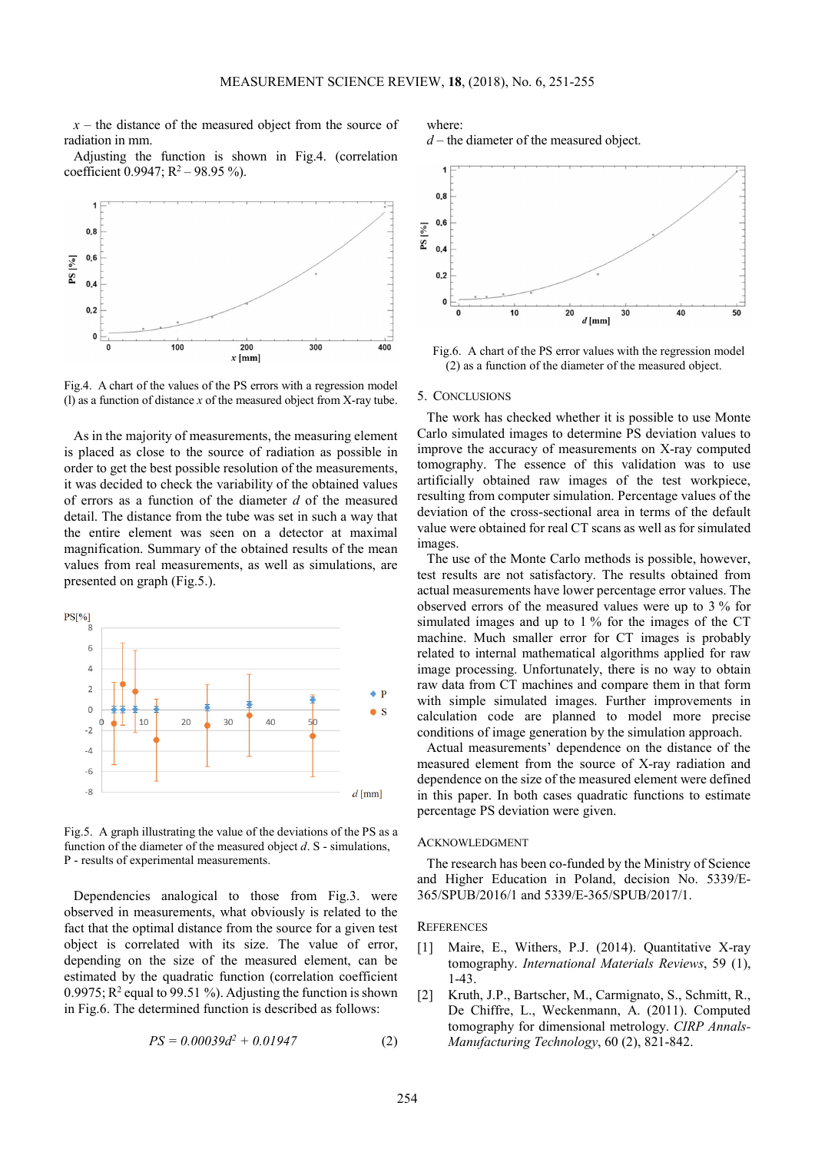$x -$  the distance of the measured object from the source of radiation in mm.

Adjusting the function is shown in Fig.4. (correlation coefficient 0.9947;  $R^2 - 98.95\%$ ).



Fig.4. A chart of the values of the PS errors with a regression model (l) as a function of distance *x* of the measured object from X-ray tube.

As in the majority of measurements, the measuring element is placed as close to the source of radiation as possible in order to get the best possible resolution of the measurements, it was decided to check the variability of the obtained values of errors as a function of the diameter *d* of the measured detail. The distance from the tube was set in such a way that the entire element was seen on a detector at maximal magnification. Summary of the obtained results of the mean values from real measurements, as well as simulations, are presented on graph (Fig.5.).



Fig.5. A graph illustrating the value of the deviations of the PS as a function of the diameter of the measured object *d*. S - simulations, P - results of experimental measurements.

Dependencies analogical to those from Fig.3. were observed in measurements, what obviously is related to the fact that the optimal distance from the source for a given test object is correlated with its size. The value of error, depending on the size of the measured element, can be estimated by the quadratic function (correlation coefficient 0.9975;  $R^2$  equal to 99.51 %). Adjusting the function is shown in Fig.6. The determined function is described as follows:

$$
PS = 0.00039d^2 + 0.01947\tag{2}
$$

where:

*d* – the diameter of the measured object.



Fig.6. A chart of the PS error values with the regression model (2) as a function of the diameter of the measured object.

### 5. CONCLUSIONS

The work has checked whether it is possible to use Monte Carlo simulated images to determine PS deviation values to improve the accuracy of measurements on X-ray computed tomography. The essence of this validation was to use artificially obtained raw images of the test workpiece, resulting from computer simulation. Percentage values of the deviation of the cross-sectional area in terms of the default value were obtained for real CT scans as well as for simulated images.

The use of the Monte Carlo methods is possible, however, test results are not satisfactory. The results obtained from actual measurements have lower percentage error values. The observed errors of the measured values were up to 3 % for simulated images and up to 1 % for the images of the CT machine. Much smaller error for CT images is probably related to internal mathematical algorithms applied for raw image processing. Unfortunately, there is no way to obtain raw data from CT machines and compare them in that form with simple simulated images. Further improvements in calculation code are planned to model more precise conditions of image generation by the simulation approach.

Actual measurements' dependence on the distance of the measured element from the source of X-ray radiation and dependence on the size of the measured element were defined in this paper. In both cases quadratic functions to estimate percentage PS deviation were given.

## ACKNOWLEDGMENT

The research has been co-funded by the Ministry of Science and Higher Education in Poland, decision No. 5339/E-365/SPUB/2016/1 and 5339/E-365/SPUB/2017/1.

#### **REFERENCES**

- [1] Maire, E., Withers, P.J. (2014). Quantitative X-ray tomography. *International Materials Reviews*, 59 (1), 1-43.
- [2] Kruth, J.P., Bartscher, M., Carmignato, S., Schmitt, R., De Chiffre, L., Weckenmann, A. (2011). Computed tomography for dimensional metrology. *CIRP Annals-Manufacturing Technology*, 60 (2), 821-842.